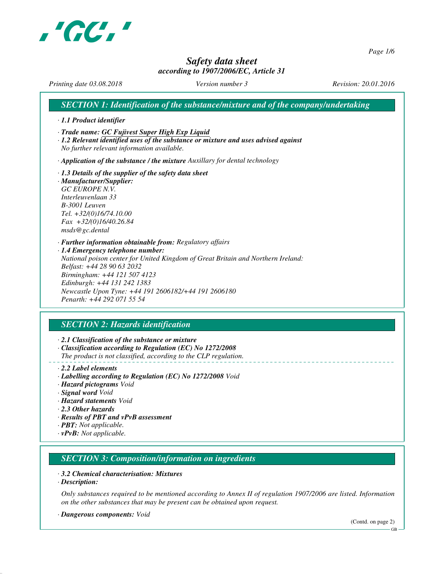

*Page 1/6*

# *Safety data sheet according to 1907/2006/EC, Article 31*

*Printing date 03.08.2018 Version number 3 Revision: 20.01.2016*

*SECTION 1: Identification of the substance/mixture and of the company/undertaking · 1.1 Product identifier · Trade name: GC Fujivest Super High Exp Liquid · 1.2 Relevant identified uses of the substance or mixture and uses advised against No further relevant information available. · Application of the substance / the mixture Auxillary for dental technology · 1.3 Details of the supplier of the safety data sheet · Manufacturer/Supplier: GC EUROPE N.V. Interleuvenlaan 33 B-3001 Leuven Tel. +32/(0)16/74.10.00 Fax +32/(0)16/40.26.84 msds@gc.dental · Further information obtainable from: Regulatory affairs · 1.4 Emergency telephone number: National poison center for United Kingdom of Great Britain and Northern Ireland: Belfast: +44 28 90 63 2032 Birmingham: +44 121 507 4123 Edinburgh: +44 131 242 1383 Newcastle Upon Tyne: +44 191 2606182/+44 191 2606180 Penarth: +44 292 071 55 54*

# *SECTION 2: Hazards identification*

*· 2.1 Classification of the substance or mixture*

- *· Classification according to Regulation (EC) No 1272/2008*
- *The product is not classified, according to the CLP regulation.*
- *· 2.2 Label elements*
- *· Labelling according to Regulation (EC) No 1272/2008 Void*
- *· Hazard pictograms Void*
- *· Signal word Void*
- *· Hazard statements Void*
- *· 2.3 Other hazards*
- *· Results of PBT and vPvB assessment*
- *· PBT: Not applicable.*
- *· vPvB: Not applicable.*

## *SECTION 3: Composition/information on ingredients*

#### *· 3.2 Chemical characterisation: Mixtures*

*· Description:*

*Only substances required to be mentioned according to Annex II of regulation 1907/2006 are listed. Information on the other substances that may be present can be obtained upon request.*

*· Dangerous components: Void*

(Contd. on page 2)

GB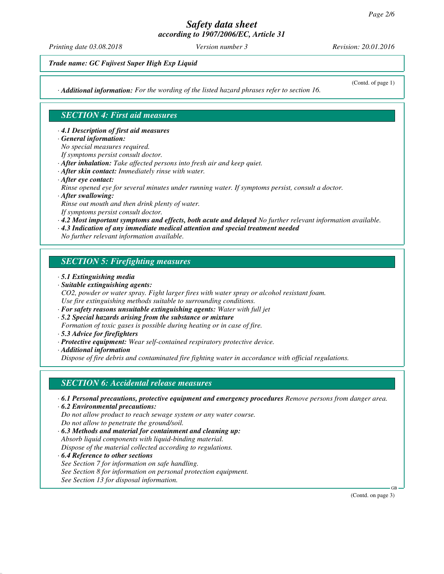*Printing date 03.08.2018 Version number 3 Revision: 20.01.2016*

*Trade name: GC Fujivest Super High Exp Liquid*

*· Additional information: For the wording of the listed hazard phrases refer to section 16.*

(Contd. of page 1)

## *SECTION 4: First aid measures*

*· 4.1 Description of first aid measures*

- *· General information:*
- *No special measures required.*
- *If symptoms persist consult doctor.*
- *· After inhalation: Take affected persons into fresh air and keep quiet.*
- *· After skin contact: Immediately rinse with water.*
- *· After eye contact:*

*Rinse opened eye for several minutes under running water. If symptoms persist, consult a doctor.*

*· After swallowing:*

*Rinse out mouth and then drink plenty of water. If symptoms persist consult doctor.*

*· 4.2 Most important symptoms and effects, both acute and delayed No further relevant information available.*

*· 4.3 Indication of any immediate medical attention and special treatment needed*

*No further relevant information available.*

# *SECTION 5: Firefighting measures*

- *· 5.1 Extinguishing media*
- *· Suitable extinguishing agents:*

*CO2, powder or water spray. Fight larger fires with water spray or alcohol resistant foam. Use fire extinguishing methods suitable to surrounding conditions.*

- *· For safety reasons unsuitable extinguishing agents: Water with full jet*
- *· 5.2 Special hazards arising from the substance or mixture*

*Formation of toxic gases is possible during heating or in case of fire.*

*· 5.3 Advice for firefighters*

*· Protective equipment: Wear self-contained respiratory protective device.*

*· Additional information*

*Dispose of fire debris and contaminated fire fighting water in accordance with official regulations.*

## *SECTION 6: Accidental release measures*

- *· 6.1 Personal precautions, protective equipment and emergency procedures Remove persons from danger area.*
- *· 6.2 Environmental precautions: Do not allow product to reach sewage system or any water course. Do not allow to penetrate the ground/soil.*
- *· 6.3 Methods and material for containment and cleaning up: Absorb liquid components with liquid-binding material. Dispose of the material collected according to regulations.*
- *· 6.4 Reference to other sections See Section 7 for information on safe handling. See Section 8 for information on personal protection equipment. See Section 13 for disposal information.*

(Contd. on page 3)

GB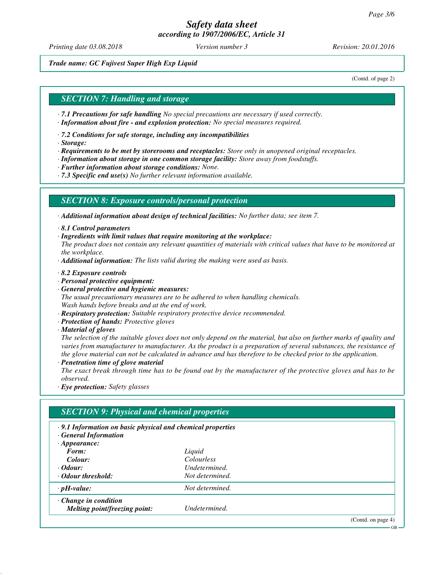*Printing date 03.08.2018 Version number 3 Revision: 20.01.2016*

*Trade name: GC Fujivest Super High Exp Liquid*

(Contd. of page 2)

#### *SECTION 7: Handling and storage*

- *· 7.1 Precautions for safe handling No special precautions are necessary if used correctly.*
- *· Information about fire and explosion protection: No special measures required.*
- *· 7.2 Conditions for safe storage, including any incompatibilities*
- *· Storage:*
- *· Requirements to be met by storerooms and receptacles: Store only in unopened original receptacles.*
- *· Information about storage in one common storage facility: Store away from foodstuffs.*
- *· Further information about storage conditions: None.*
- *· 7.3 Specific end use(s) No further relevant information available.*

#### *SECTION 8: Exposure controls/personal protection*

*· Additional information about design of technical facilities: No further data; see item 7.*

- *· 8.1 Control parameters*
- *· Ingredients with limit values that require monitoring at the workplace:*
- *The product does not contain any relevant quantities of materials with critical values that have to be monitored at the workplace.*
- *· Additional information: The lists valid during the making were used as basis.*
- *· 8.2 Exposure controls*
- *· Personal protective equipment:*
- *· General protective and hygienic measures: The usual precautionary measures are to be adhered to when handling chemicals. Wash hands before breaks and at the end of work.*
- *· Respiratory protection: Suitable respiratory protective device recommended.*
- *· Protection of hands: Protective gloves*
- *· Material of gloves*

*The selection of the suitable gloves does not only depend on the material, but also on further marks of quality and varies from manufacturer to manufacturer. As the product is a preparation of several substances, the resistance of the glove material can not be calculated in advance and has therefore to be checked prior to the application.*

*· Penetration time of glove material*

*The exact break through time has to be found out by the manufacturer of the protective gloves and has to be observed.*

*· Eye protection: Safety glasses*

| .9.1 Information on basic physical and chemical properties<br><b>General Information</b> |                   |  |
|------------------------------------------------------------------------------------------|-------------------|--|
| $\cdot$ Appearance:                                                                      |                   |  |
| Form:                                                                                    | Liquid            |  |
| Colour:                                                                                  | <b>Colourless</b> |  |
| $\cdot$ <i>Odour:</i>                                                                    | Undetermined.     |  |
| Odour threshold:                                                                         | Not determined.   |  |
| $\cdot$ pH-value:                                                                        | Not determined.   |  |
| $\cdot$ Change in condition                                                              |                   |  |
| Melting point/freezing point:                                                            | Undetermined.     |  |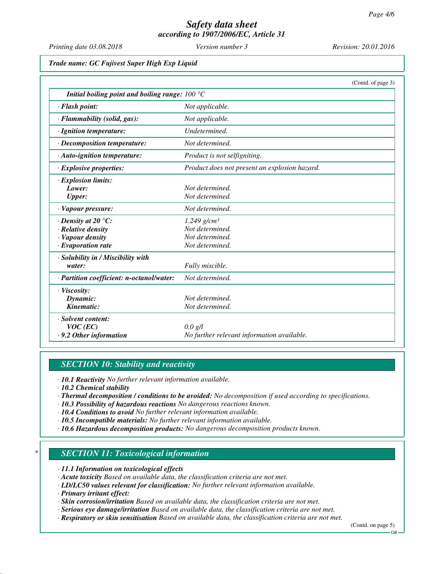*Printing date 03.08.2018 Version number 3 Revision: 20.01.2016*

*Trade name: GC Fujivest Super High Exp Liquid*

|                                                                        | (Contd. of page 3)                            |
|------------------------------------------------------------------------|-----------------------------------------------|
| Initial boiling point and boiling range: $100\text{ }^{\circ}\text{C}$ |                                               |
| $\cdot$ Flash point:                                                   | Not applicable.                               |
| · Flammability (solid, gas):                                           | Not applicable.                               |
| $\cdot$ Ignition temperature:                                          | Undetermined.                                 |
| $\cdot$ Decomposition temperature:                                     | Not determined.                               |
| $\cdot$ Auto-ignition temperature:                                     | Product is not selfigniting.                  |
| $\cdot$ Explosive properties:                                          | Product does not present an explosion hazard. |
| · Explosion limits:                                                    |                                               |
| Lower:                                                                 | Not determined.                               |
| <b>Upper:</b>                                                          | Not determined.                               |
| $\cdot$ Vapour pressure:                                               | Not determined.                               |
| $\cdot$ Density at 20 $\degree$ C:                                     | $1.249$ g/cm <sup>3</sup>                     |
| · Relative density                                                     | Not determined.                               |
| · Vapour density                                                       | Not determined.                               |
| $\cdot$ Evaporation rate                                               | Not determined.                               |
| · Solubility in / Miscibility with                                     |                                               |
| water:                                                                 | Fully miscible.                               |
| · Partition coefficient: n-octanol/water:                              | Not determined.                               |
| $\cdot$ Viscosity:                                                     |                                               |
| Dynamic:                                                               | Not determined.                               |
| Kinematic:                                                             | Not determined.                               |
| · Solvent content:                                                     |                                               |
| $VOC$ (EC)                                                             | $0.0 \text{ g/l}$                             |
| $\cdot$ 9.2 Other information                                          | No further relevant information available.    |

#### *SECTION 10: Stability and reactivity*

*· 10.1 Reactivity No further relevant information available.*

*· 10.2 Chemical stability*

- *· Thermal decomposition / conditions to be avoided: No decomposition if used according to specifications.*
- *· 10.3 Possibility of hazardous reactions No dangerous reactions known.*
- *· 10.4 Conditions to avoid No further relevant information available.*
- *· 10.5 Incompatible materials: No further relevant information available.*
- *· 10.6 Hazardous decomposition products: No dangerous decomposition products known.*

#### *\* SECTION 11: Toxicological information*

*· 11.1 Information on toxicological effects*

- *· Acute toxicity Based on available data, the classification criteria are not met.*
- *· LD/LC50 values relevant for classification: No further relevant information available.*
- *· Primary irritant effect:*
- *· Skin corrosion/irritation Based on available data, the classification criteria are not met.*
- *· Serious eye damage/irritation Based on available data, the classification criteria are not met.*
- *· Respiratory or skin sensitisation Based on available data, the classification criteria are not met.*

(Contd. on page 5)

GB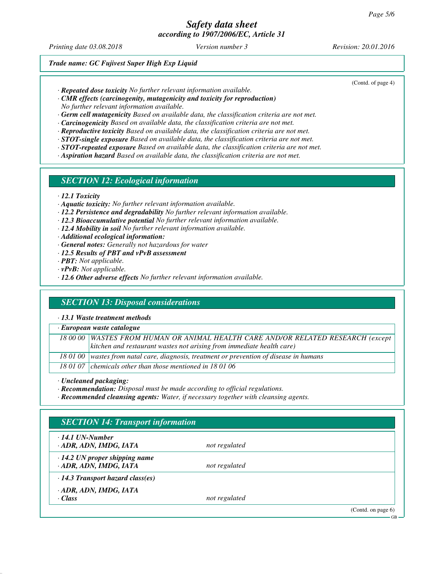*Printing date 03.08.2018 Version number 3 Revision: 20.01.2016*

(Contd. of page 4)

*Trade name: GC Fujivest Super High Exp Liquid*

- *· Repeated dose toxicity No further relevant information available.*
- *· CMR effects (carcinogenity, mutagenicity and toxicity for reproduction)*

*No further relevant information available.*

- *· Germ cell mutagenicity Based on available data, the classification criteria are not met.*
- *· Carcinogenicity Based on available data, the classification criteria are not met.*
- *· Reproductive toxicity Based on available data, the classification criteria are not met.*
- *· STOT-single exposure Based on available data, the classification criteria are not met.*
- *· STOT-repeated exposure Based on available data, the classification criteria are not met.*
- *· Aspiration hazard Based on available data, the classification criteria are not met.*

#### *SECTION 12: Ecological information*

- *· 12.1 Toxicity*
- *· Aquatic toxicity: No further relevant information available.*
- *· 12.2 Persistence and degradability No further relevant information available.*
- *· 12.3 Bioaccumulative potential No further relevant information available.*
- *· 12.4 Mobility in soil No further relevant information available.*
- *· Additional ecological information:*
- *· General notes: Generally not hazardous for water*
- *· 12.5 Results of PBT and vPvB assessment*
- *· PBT: Not applicable.*
- *· vPvB: Not applicable.*
- *· 12.6 Other adverse effects No further relevant information available.*

## *SECTION 13: Disposal considerations*

*· 13.1 Waste treatment methods*

| · European waste catalogue |                                                                                            |  |  |  |
|----------------------------|--------------------------------------------------------------------------------------------|--|--|--|
|                            | 18 00 00   WASTES FROM HUMAN OR ANIMAL HEALTH CARE AND/OR RELATED RESEARCH (except         |  |  |  |
|                            | kitchen and restaurant wastes not arising from immediate health care)                      |  |  |  |
|                            | 18 01 00   wastes from natal care, diagnosis, treatment or prevention of disease in humans |  |  |  |
|                            | 18 01 07 chemicals other than those mentioned in 18 01 06                                  |  |  |  |

*· Uncleaned packaging:*

*· Recommendation: Disposal must be made according to official regulations.*

*· Recommended cleansing agents: Water, if necessary together with cleansing agents.*

| $\cdot$ 14.1 UN-Number                  |               |  |
|-----------------------------------------|---------------|--|
| · ADR, ADN, IMDG, IATA                  | not regulated |  |
| $\cdot$ 14.2 UN proper shipping name    |               |  |
| · ADR, ADN, IMDG, IATA                  | not regulated |  |
| $\cdot$ 14.3 Transport hazard class(es) |               |  |
| · ADR, ADN, IMDG, IATA                  |               |  |
| $\cdot$ Class                           | not regulated |  |